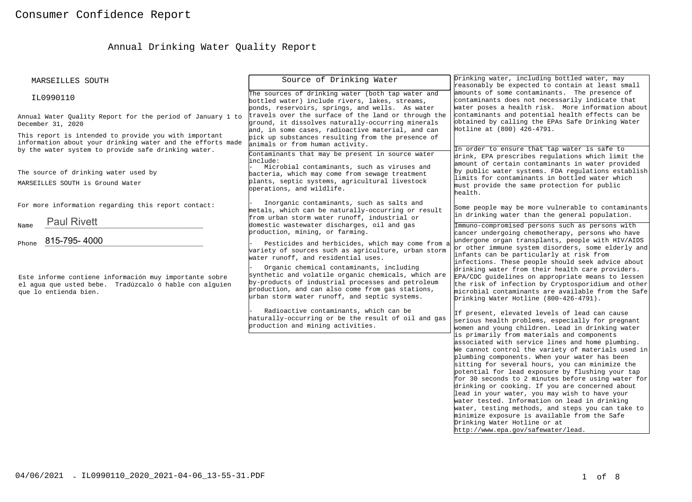# Annual Drinking Water Quality Report

| MARSEILLES SOUTH                                                                                                                                                           | Source of Drinking Water                                                                                                                                                                                                                                                                         | Drinking water, including bottled water, may<br>reasonably be expected to contain at least small                                                                                                                                                                                                                                                                                                                                                                                                                                                                                                                                                                                                   |
|----------------------------------------------------------------------------------------------------------------------------------------------------------------------------|--------------------------------------------------------------------------------------------------------------------------------------------------------------------------------------------------------------------------------------------------------------------------------------------------|----------------------------------------------------------------------------------------------------------------------------------------------------------------------------------------------------------------------------------------------------------------------------------------------------------------------------------------------------------------------------------------------------------------------------------------------------------------------------------------------------------------------------------------------------------------------------------------------------------------------------------------------------------------------------------------------------|
| IL0990110                                                                                                                                                                  | The sources of drinking water (both tap water and<br>bottled water) include rivers, lakes, streams,<br>ponds, reservoirs, springs, and wells. As water                                                                                                                                           | amounts of some contaminants. The presence of<br>contaminants does not necessarily indicate that<br>water poses a health risk. More information about                                                                                                                                                                                                                                                                                                                                                                                                                                                                                                                                              |
| Annual Water Quality Report for the period of January 1 to<br>December 31, 2020                                                                                            | travels over the surface of the land or through the<br>ground, it dissolves naturally-occurring minerals<br>and, in some cases, radioactive material, and can                                                                                                                                    | contaminants and potential health effects can be<br>obtained by calling the EPAs Safe Drinking Water<br>Hotline at (800) 426-4791.                                                                                                                                                                                                                                                                                                                                                                                                                                                                                                                                                                 |
| This report is intended to provide you with important<br>information about your drinking water and the efforts made<br>by the water system to provide safe drinking water. | pick up substances resulting from the presence of<br>animals or from human activity.                                                                                                                                                                                                             | In order to ensure that tap water is safe to                                                                                                                                                                                                                                                                                                                                                                                                                                                                                                                                                                                                                                                       |
| The source of drinking water used by<br>MARSEILLES SOUTH is Ground Water                                                                                                   | Contaminants that may be present in source water<br>include:<br>Microbial contaminants, such as viruses and<br>bacteria, which may come from sewage treatment<br>plants, septic systems, agricultural livestock<br>operations, and wildlife.                                                     | drink, EPA prescribes regulations which limit the<br>amount of certain contaminants in water provided<br>by public water systems. FDA regulations establish<br>limits for contaminants in bottled water which<br>must provide the same protection for public<br>health.                                                                                                                                                                                                                                                                                                                                                                                                                            |
| For more information regarding this report contact:                                                                                                                        | Inorganic contaminants, such as salts and<br>metals, which can be naturally-occurring or result<br>from urban storm water runoff, industrial or                                                                                                                                                  | Some people may be more vulnerable to contaminants<br>in drinking water than the general population.                                                                                                                                                                                                                                                                                                                                                                                                                                                                                                                                                                                               |
| <b>Paul Rivett</b><br>Name<br>815-795-4000<br>Phone                                                                                                                        | domestic wastewater discharges, oil and gas<br>production, mining, or farming.<br>Pesticides and herbicides, which may come from a<br>variety of sources such as agriculture, urban storm                                                                                                        | Immuno-compromised persons such as persons with<br>cancer undergoing chemotherapy, persons who have<br>undergone organ transplants, people with HIV/AIDS<br>or other immune system disorders, some elderly and                                                                                                                                                                                                                                                                                                                                                                                                                                                                                     |
| Este informe contiene información muy importante sobre<br>el aqua que usted bebe. Tradúzcalo ó hable con alquien<br>que lo entienda bien.                                  | water runoff, and residential uses.<br>Organic chemical contaminants, including<br>synthetic and volatile organic chemicals, which are<br>by-products of industrial processes and petroleum<br>production, and can also come from gas stations,<br>urban storm water runoff, and septic systems. | infants can be particularly at risk from<br>infections. These people should seek advice about<br>drinking water from their health care providers.<br>EPA/CDC guidelines on appropriate means to lessen<br>the risk of infection by Cryptosporidium and other<br>microbial contaminants are available from the Safe<br>Drinking Water Hotline (800-426-4791).                                                                                                                                                                                                                                                                                                                                       |
|                                                                                                                                                                            | Radioactive contaminants, which can be<br>haturally-occurring or be the result of oil and gas<br>production and mining activities.                                                                                                                                                               | If present, elevated levels of lead can cause<br>serious health problems, especially for pregnant<br>women and young children. Lead in drinking water                                                                                                                                                                                                                                                                                                                                                                                                                                                                                                                                              |
|                                                                                                                                                                            |                                                                                                                                                                                                                                                                                                  | is primarily from materials and components<br>associated with service lines and home plumbing.<br>We cannot control the variety of materials used in<br>plumbing components. When your water has been<br>sitting for several hours, you can minimize the<br>potential for lead exposure by flushing your tap<br>for 30 seconds to 2 minutes before using water for<br>drinking or cooking. If you are concerned about<br>lead in your water, you may wish to have your<br>water tested. Information on lead in drinking<br>water, testing methods, and steps you can take to<br>minimize exposure is available from the Safe<br>Drinking Water Hotline or at<br>http://www.epa.gov/safewater/lead. |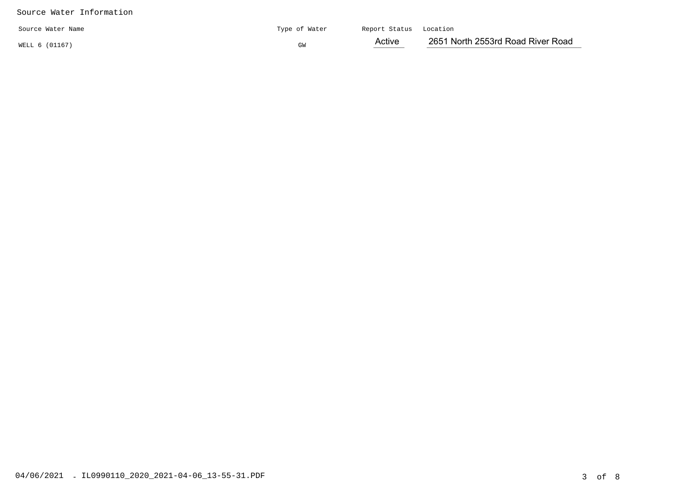## Source Water Information

| Source Water Name | Type of Water | Report Status Location |                                   |
|-------------------|---------------|------------------------|-----------------------------------|
| WELL 6 (01167)    | GW            | Active                 | 2651 North 2553rd Road River Road |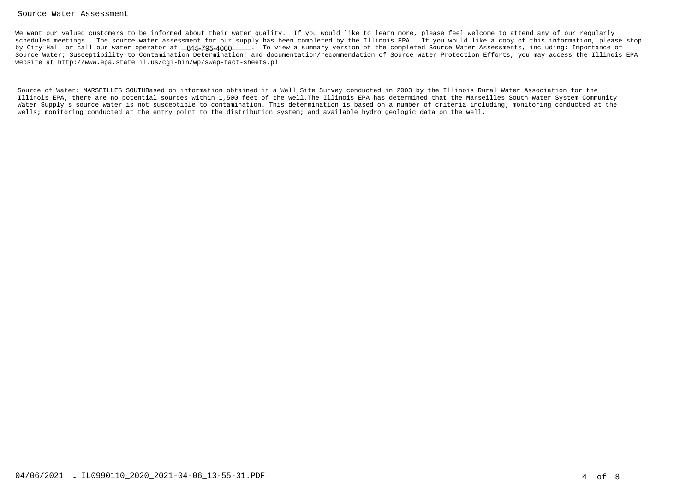### Source Water Assessment

We want our valued customers to be informed about their water quality. If you would like to learn more, please feel welcome to attend any of our regularly scheduled meetings. The source water assessment for our supply has been completed by the Illinois EPA. If you would like a copy of this information, please stopby City Hall or call our water operator at \_<mark>815-795-4000</mark>\_\_\_\_. To view a summary version of the completed Source Water Assessments, including: Importance of Source Water; Susceptibility to Contamination Determination; and documentation/recommendation of Source Water Protection Efforts, you may access the Illinois EPAwebsite at http://www.epa.state.il.us/cgi-bin/wp/swap-fact-sheets.pl.

Source of Water: MARSEILLES SOUTHBased on information obtained in a Well Site Survey conducted in 2003 by the Illinois Rural Water Association for the Illinois EPA, there are no potential sources within 1,500 feet of the well.The Illinois EPA has determined that the Marseilles South Water System Community Water Supply's source water is not susceptible to contamination. This determination is based on a number of criteria including; monitoring conducted at thewells; monitoring conducted at the entry point to the distribution system; and available hydro geologic data on the well.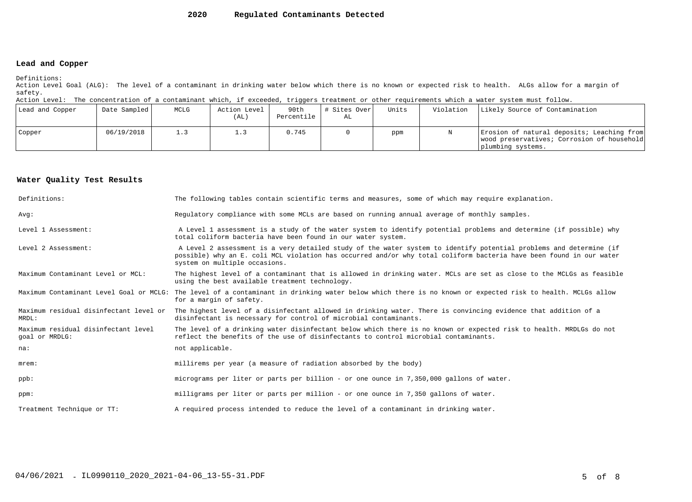#### **2020Regulated Contaminants Detected**

### **Lead and Copper**

Definitions:

 Action Level Goal (ALG): The level of a contaminant in drinking water below which there is no known or expected risk to health. ALGs allow for a margin ofsafety.

Action Level: The concentration of a contaminant which, if exceeded, triggers treatment or other requirements which a water system must follow.

| Lead and Copper | Date Sampled | MCLG | Action Level<br>(AL) | 90th<br>Percentile | # Sites Over<br>AL | Units | Violation | Likely Source of Contamination                                                                                |
|-----------------|--------------|------|----------------------|--------------------|--------------------|-------|-----------|---------------------------------------------------------------------------------------------------------------|
| Copper          | 06/19/2018   | 1.3  |                      | 0.745              |                    | ppm   |           | Erosion of natural deposits; Leaching from<br>wood preservatives; Corrosion of household<br>plumbing systems. |

### **Water Quality Test Results**

| Definitions:                                          | The following tables contain scientific terms and measures, some of which may require explanation.                                                                                                                                                                         |
|-------------------------------------------------------|----------------------------------------------------------------------------------------------------------------------------------------------------------------------------------------------------------------------------------------------------------------------------|
| Avq:                                                  | Requlatory compliance with some MCLs are based on running annual average of monthly samples.                                                                                                                                                                               |
| Level 1 Assessment:                                   | A Level 1 assessment is a study of the water system to identify potential problems and determine (if possible) why<br>total coliform bacteria have been found in our water system.                                                                                         |
| Level 2 Assessment:                                   | A Level 2 assessment is a very detailed study of the water system to identify potential problems and determine (if<br>possible) why an E. coli MCL violation has occurred and/or why total coliform bacteria have been found in our water<br>system on multiple occasions. |
| Maximum Contaminant Level or MCL:                     | The highest level of a contaminant that is allowed in drinking water. MCLs are set as close to the MCLGs as feasible<br>using the best available treatment technology.                                                                                                     |
|                                                       | Maximum Contaminant Level Goal or MCLG: The level of a contaminant in drinking water below which there is no known or expected risk to health. MCLGs allow<br>for a margin of safety.                                                                                      |
| Maximum residual disinfectant level or<br>MRDL:       | The highest level of a disinfectant allowed in drinking water. There is convincing evidence that addition of a<br>disinfectant is necessary for control of microbial contaminants.                                                                                         |
| Maximum residual disinfectant level<br>goal or MRDLG: | The level of a drinking water disinfectant below which there is no known or expected risk to health. MRDLGs do not<br>reflect the benefits of the use of disinfectants to control microbial contaminants.                                                                  |
| na:                                                   | not applicable.                                                                                                                                                                                                                                                            |
| $m$ rem:                                              | millirems per year (a measure of radiation absorbed by the body)                                                                                                                                                                                                           |
| $ppb$ :                                               | micrograms per liter or parts per billion - or one ounce in 7,350,000 gallons of water.                                                                                                                                                                                    |
| ppm:                                                  | milligrams per liter or parts per million - or one ounce in 7,350 gallons of water.                                                                                                                                                                                        |
| Treatment Technique or TT:                            | A required process intended to reduce the level of a contaminant in drinking water.                                                                                                                                                                                        |